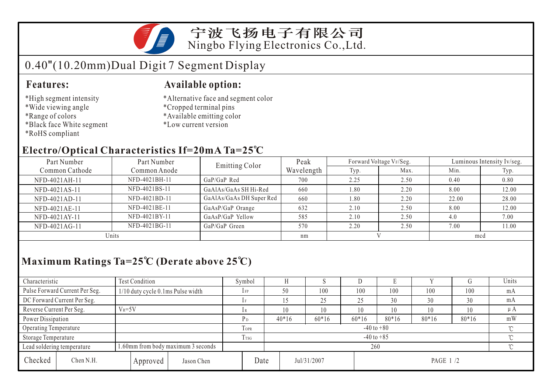

宁波飞扬电子有限公司 Ningbo Flying Electronics Co.,Ltd.

# 0.40"(10.20mm)Dual Digit 7 Segment Display

### **Features:**

- \*High segment intensity
- \*Wide viewing angle
- \*Range of colors
- \*Black face White segment
- \*RoHS compliant

### **Available option:**

- \*Alternative face and segment color
- \*Cropped terminal pins
- \*Available emitting color
- \*Low current version

## **Electro/Optical Characteristics If=20mA Ta=25 C**

| Part Number    | Part Number   | <b>Emitting Color</b>    | Peak       |      | Forward Voltage VF/Seg. | Luminous Intensity Iv/seg. |       |  |
|----------------|---------------|--------------------------|------------|------|-------------------------|----------------------------|-------|--|
| Common Cathode | Common Anode  |                          | Wavelength | Typ. | Max.                    | Min.                       | Typ.  |  |
| NFD-4021AH-11  | NFD-4021BH-11 | GaP/GaP Red              | 700        | 2.25 | 2.50                    | 0.40                       | 0.80  |  |
| NFD-4021AS-11  | NFD-4021BS-11 | GaAlAs/GaAs SH Hi-Red    | 660        | 08.1 | 2.20                    | 8.00                       | 12.00 |  |
| NFD-4021AD-11  | NFD-4021BD-11 | GaAlAs/GaAs DH Super Red | 660        | 1.80 | 2.20                    | 22.00                      | 28.00 |  |
| NFD-4021AE-11  | NFD-4021BE-11 | GaAsP/GaP Orange         | 632        | 2.10 | 2.50                    | 8.00                       | 12.00 |  |
| NFD-4021AY-11  | NFD-4021BY-11 | GaAsP/GaP Yellow         | 585        | 2.10 | 2.50                    | 4.0                        | 7.00  |  |
| NFD-4021AG-11  | NFD-4021BG-11 | GaP/GaP Green            | 570        | 2.20 | 2.50                    | 7.00                       | 11.00 |  |
| Units          |               |                          | nm         |      |                         | mcd                        |       |  |

## **Maximum Ratings Ta=25 C (Derate above 25 C)**

| Characteristic                                                   |                                        | <b>Test Condition</b>                |                | Symbol                           |         |         | IJ      |         |     | ÅТ       | Units |
|------------------------------------------------------------------|----------------------------------------|--------------------------------------|----------------|----------------------------------|---------|---------|---------|---------|-----|----------|-------|
|                                                                  | Pulse Forward Current Per Seg.         | $1/10$ duty cycle 0.1 ms Pulse width |                | $1$ FP                           | 50      | 100     | 100     | 100     | 100 | 100      | mA    |
|                                                                  | DC Forward Current Per Seg.            |                                      |                | 1F                               |         | 25      | 25      | 30      | 30  | 30       | mA    |
|                                                                  | $V_R = 5V$<br>Reverse Current Per Seg. |                                      | lR             | 10                               | 10      | 10      | 10      | 10      | 10  | $\mu A$  |       |
| Power Dissipation                                                |                                        | P <sub>D</sub>                       | $40*16$        | $60*16$                          | $60*16$ | $80*16$ | $80*16$ | $80*16$ | mW  |          |       |
| Operating Temperature                                            |                                        |                                      | TOPR           | $-40$ to $+80$                   |         |         |         |         |     |          |       |
| Storage Temperature                                              |                                        | I TSG                                | $-40$ to $+85$ |                                  |         |         |         |         |     |          |       |
| 1.60mm from body maximum 3 seconds<br>Lead soldering temperature |                                        |                                      |                | 260                              |         |         |         |         |     | $\gamma$ |       |
| Checked                                                          | Chen N.H.                              | Approved                             | Jason Chen     | Date<br>Jul/31/2007<br>PAGE 1 /2 |         |         |         |         |     |          |       |